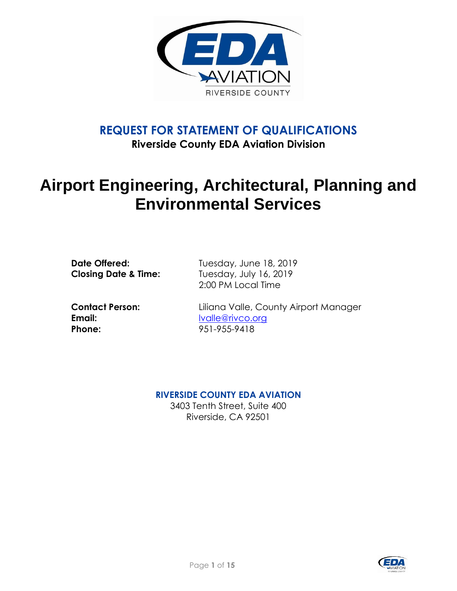

# **REQUEST FOR STATEMENT OF QUALIFICATIONS**

**Riverside County EDA Aviation Division**

## **Airport Engineering, Architectural, Planning and Environmental Services**

**Date Offered:** Tuesday, June 18, 2019 **Closing Date & Time:** Tuesday, July 16, 2019 2:00 PM Local Time

**Email:** [lvalle@rivco.org](mailto:lvalle@rivco.org) **Phone:** 951-955-9418

**Contact Person:** Liliana Valle, County Airport Manager

## **RIVERSIDE COUNTY EDA AVIATION**

3403 Tenth Street, Suite 400 Riverside, CA 92501

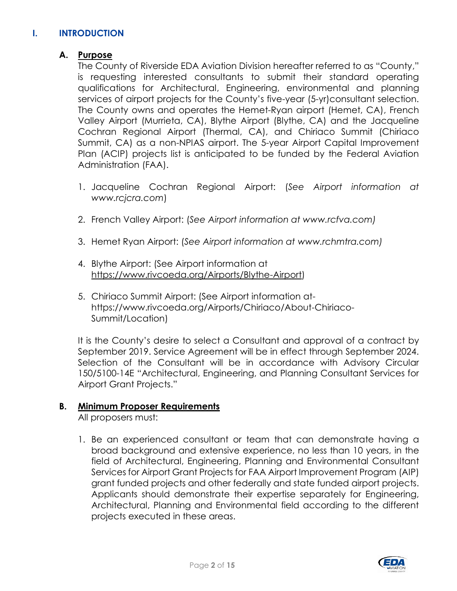## **I. INTRODUCTION**

## **A. Purpose**

The County of Riverside EDA Aviation Division hereafter referred to as "County," is requesting interested consultants to submit their standard operating qualifications for Architectural, Engineering, environmental and planning services of airport projects for the County's five-year (5-yr)consultant selection. The County owns and operates the Hemet-Ryan airport (Hemet, CA), French Valley Airport (Murrieta, CA), Blythe Airport (Blythe, CA) and the Jacqueline Cochran Regional Airport (Thermal, CA), and Chiriaco Summit (Chiriaco Summit, CA) as a non-NPIAS airport. The 5-year Airport Capital Improvement Plan (ACIP) projects list is anticipated to be funded by the Federal Aviation Administration (FAA).

- 1. Jacqueline Cochran Regional Airport: (*See Airport information at www.rcjcra.com*)
- 2. French Valley Airport: (*See Airport information at www.rcfva.com)*
- 3. Hemet Ryan Airport: (*See Airport information at www.rchmtra.com)*
- 4. Blythe Airport: (See Airport information at [https://www.rivcoeda.org/Airports/Blythe-Airport\)](https://www.rivcoeda.org/Airports/Blythe-Airport)
- 5. Chiriaco Summit Airport: (See Airport information athttps://www.rivcoeda.org/Airports/Chiriaco/About-Chiriaco-Summit/Location)

It is the County's desire to select a Consultant and approval of a contract by September 2019. Service Agreement will be in effect through September 2024. Selection of the Consultant will be in accordance with Advisory Circular 150/5100-14E "Architectural, Engineering, and Planning Consultant Services for Airport Grant Projects."

#### **B. Minimum Proposer Requirements**

All proposers must:

1. Be an experienced consultant or team that can demonstrate having a broad background and extensive experience, no less than 10 years, in the field of Architectural, Engineering, Planning and Environmental Consultant Services for Airport Grant Projects for FAA Airport Improvement Program (AIP) grant funded projects and other federally and state funded airport projects. Applicants should demonstrate their expertise separately for Engineering, Architectural, Planning and Environmental field according to the different projects executed in these areas.

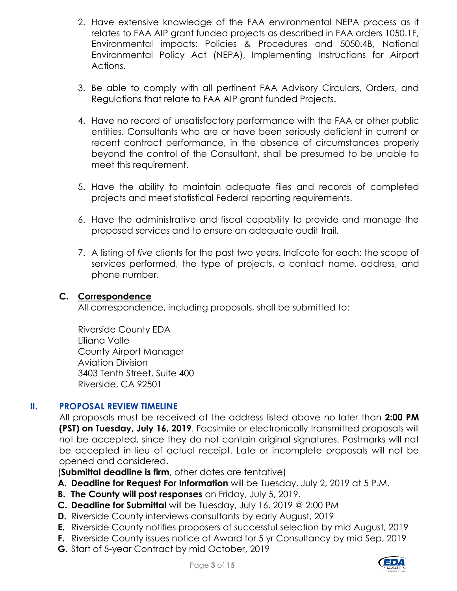- 2. Have extensive knowledge of the FAA environmental NEPA process as it relates to FAA AIP grant funded projects as described in FAA orders 1050.1F, Environmental impacts: Policies & Procedures and 5050.4B, National Environmental Policy Act (NEPA), Implementing Instructions for Airport Actions.
- 3. Be able to comply with all pertinent FAA Advisory Circulars, Orders, and Regulations that relate to FAA AIP grant funded Projects.
- 4. Have no record of unsatisfactory performance with the FAA or other public entities. Consultants who are or have been seriously deficient in current or recent contract performance, in the absence of circumstances properly beyond the control of the Consultant, shall be presumed to be unable to meet this requirement.
- 5. Have the ability to maintain adequate files and records of completed projects and meet statistical Federal reporting requirements.
- 6. Have the administrative and fiscal capability to provide and manage the proposed services and to ensure an adequate audit trail.
- 7. A listing of *five* clients for the past two years. Indicate for each: the scope of services performed, the type of projects, a contact name, address, and phone number.

## **C. Correspondence**

All correspondence, including proposals, shall be submitted to:

Riverside County EDA Liliana Valle County Airport Manager Aviation Division 3403 Tenth Street, Suite 400 Riverside, CA 92501

## **II. PROPOSAL REVIEW TIMELINE**

All proposals must be received at the address listed above no later than **2:00 PM (PST) on Tuesday, July 16, 2019**. Facsimile or electronically transmitted proposals will not be accepted, since they do not contain original signatures. Postmarks will not be accepted in lieu of actual receipt. Late or incomplete proposals will not be opened and considered.

(**Submittal deadline is firm**, other dates are tentative)

- **A. Deadline for Request For Information** will be Tuesday, July 2, 2019 at 5 P.M.
- **B. The County will post responses** on Friday, July 5, 2019.
- **C. Deadline for Submittal** will be Tuesday, July 16, 2019 @ 2:00 PM
- **D.** Riverside County interviews consultants by early August, 2019
- **E.** Riverside County notifies proposers of successful selection by mid August, 2019
- **F.** Riverside County issues notice of Award for 5 yr Consultancy by mid Sep, 2019
- **G.** Start of 5-year Contract by mid October, 2019

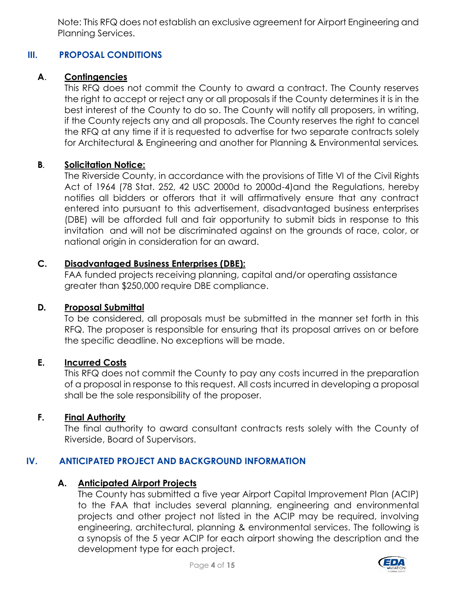Note: This RFQ does not establish an exclusive agreement for Airport Engineering and Planning Services.

## **III. PROPOSAL CONDITIONS**

## **A**. **Contingencies**

This RFQ does not commit the County to award a contract. The County reserves the right to accept or reject any or all proposals if the County determines it is in the best interest of the County to do so. The County will notify all proposers, in writing, if the County rejects any and all proposals. The County reserves the right to cancel the RFQ at any time if it is requested to advertise for two separate contracts solely for Architectural & Engineering and another for Planning & Environmental services*.* 

#### **B***.* **Solicitation Notice:**

The Riverside County, in accordance with the provisions of Title VI of the Civil Rights Act of 1964 (78 Stat. 252, 42 USC 2000d to 2000d-4)and the Regulations, hereby notifies all bidders or offerors that it will affirmatively ensure that any contract entered into pursuant to this advertisement, disadvantaged business enterprises (DBE) will be afforded full and fair opportunity to submit bids in response to this invitation and will not be discriminated against on the grounds of race, color, or national origin in consideration for an award.

#### **C. Disadvantaged Business Enterprises (DBE):**

FAA funded projects receiving planning, capital and/or operating assistance greater than \$250,000 require DBE compliance.

#### **D***.* **Proposal Submittal**

To be considered, all proposals must be submitted in the manner set forth in this RFQ. The proposer is responsible for ensuring that its proposal arrives on or before the specific deadline. No exceptions will be made.

#### **E. Incurred Costs**

This RFQ does not commit the County to pay any costs incurred in the preparation of a proposal in response to this request. All costs incurred in developing a proposal shall be the sole responsibility of the proposer.

#### **F. Final Authority**

The final authority to award consultant contracts rests solely with the County of Riverside, Board of Supervisors.

## **IV. ANTICIPATED PROJECT AND BACKGROUND INFORMATION**

#### **A. Anticipated Airport Projects**

The County has submitted a five year Airport Capital Improvement Plan (ACIP) to the FAA that includes several planning, engineering and environmental projects and other project not listed in the ACIP may be required, involving engineering, architectural, planning & environmental services. The following is a synopsis of the 5 year ACIP for each airport showing the description and the development type for each project.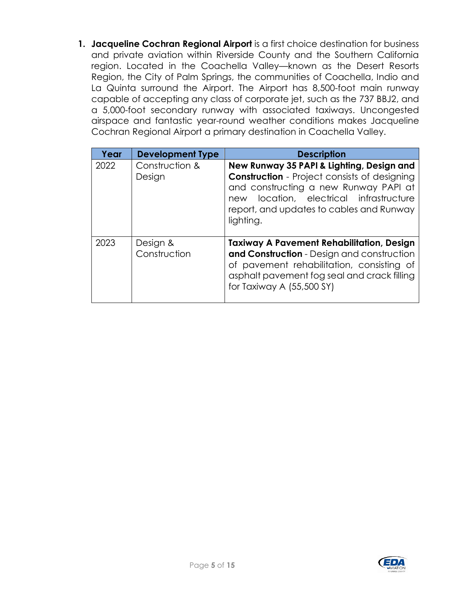**1. Jacqueline Cochran Regional Airport** is a first choice destination for business and private aviation within Riverside County and the Southern California region. Located in the Coachella Valley—known as the Desert Resorts Region, the City of Palm Springs, the communities of Coachella, Indio and La Quinta surround the Airport. The Airport has 8,500-foot main runway capable of accepting any class of corporate jet, such as the 737 BBJ2, and a 5,000-foot secondary runway with associated taxiways. Uncongested airspace and fantastic year-round weather conditions makes Jacqueline Cochran Regional Airport a primary destination in Coachella Valley.

| Year | <b>Development Type</b>  | <b>Description</b>                                                                                                                                                                                                                               |
|------|--------------------------|--------------------------------------------------------------------------------------------------------------------------------------------------------------------------------------------------------------------------------------------------|
| 2022 | Construction &<br>Design | New Runway 35 PAPI & Lighting, Design and<br><b>Construction</b> - Project consists of designing<br>and constructing a new Runway PAPI at<br>location, electrical infrastructure<br>new<br>report, and updates to cables and Runway<br>lighting. |
| 2023 | Design &<br>Construction | <b>Taxiway A Pavement Rehabilitation, Design</b><br>and Construction - Design and construction<br>of pavement rehabilitation, consisting of<br>asphalt pavement fog seal and crack filling<br>for Taxiway A (55,500 SY)                          |

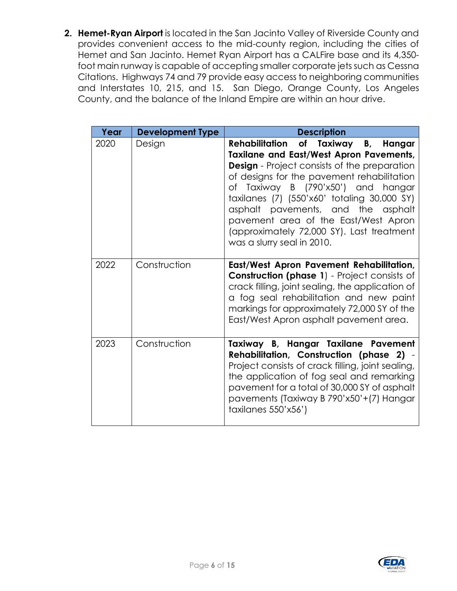**2. Hemet-Ryan Airport** is located in the San Jacinto Valley of Riverside County and provides convenient access to the mid-county region, including the cities of Hemet and San Jacinto. Hemet Ryan Airport has a CALFire base and its 4,350 foot main runway is capable of accepting smaller corporate jets such as Cessna Citations. Highways 74 and 79 provide easy access to neighboring communities and Interstates 10, 215, and 15. San Diego, Orange County, Los Angeles County, and the balance of the Inland Empire are within an hour drive.

| Year | <b>Development Type</b> | <b>Description</b>                                                                                                                                                                                                                                                                                                                                                                                                                       |
|------|-------------------------|------------------------------------------------------------------------------------------------------------------------------------------------------------------------------------------------------------------------------------------------------------------------------------------------------------------------------------------------------------------------------------------------------------------------------------------|
| 2020 | Design                  | Rehabilitation of Taxiway B, Hangar<br><b>Taxilane and East/West Apron Pavements,</b><br><b>Design</b> - Project consists of the preparation<br>of designs for the pavement rehabilitation<br>of Taxiway B (790'x50') and hangar<br>taxilanes (7) (550'x60' totaling 30,000 SY)<br>asphalt pavements, and the asphalt<br>pavement area of the East/West Apron<br>(approximately 72,000 SY). Last treatment<br>was a slurry seal in 2010. |
| 2022 | Construction            | East/West Apron Pavement Rehabilitation,<br><b>Construction (phase 1)</b> - Project consists of<br>crack filling, joint sealing, the application of<br>a fog seal rehabilitation and new paint<br>markings for approximately 72,000 SY of the<br>East/West Apron asphalt pavement area.                                                                                                                                                  |
| 2023 | Construction            | Taxiway B, Hangar Taxilane Pavement<br><b>Rehabilitation, Construction (phase 2) -</b><br>Project consists of crack filling, joint sealing,<br>the application of fog seal and remarking<br>pavement for a total of 30,000 SY of asphalt<br>pavements (Taxiway B 790'x50'+(7) Hangar<br>taxilanes 550'x56')                                                                                                                              |

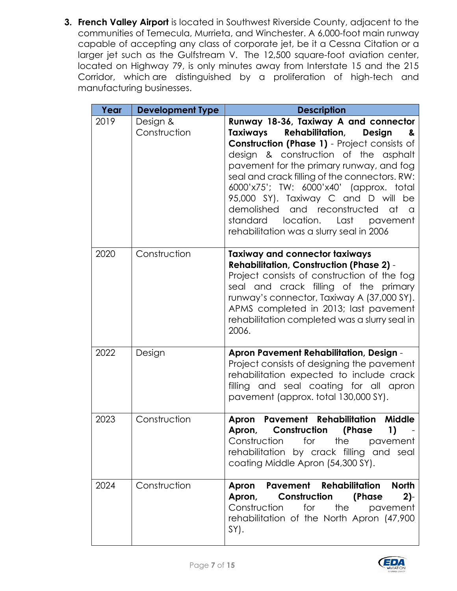**3. French Valley Airport** is located in Southwest Riverside County, adjacent to the communities of Temecula, Murrieta, and Winchester. A 6,000-foot main runway capable of accepting any class of corporate jet, be it a Cessna Citation or a larger jet such as the Gulfstream V. The 12,500 square-foot aviation center, located on Highway 79, is only minutes away from Interstate 15 and the 215 Corridor, which are distinguished by a proliferation of high-tech and manufacturing businesses.

| Year | <b>Development Type</b>  | <b>Description</b>                                                                                                                                                                                                                                                                                                                                                                                                                                                                                       |
|------|--------------------------|----------------------------------------------------------------------------------------------------------------------------------------------------------------------------------------------------------------------------------------------------------------------------------------------------------------------------------------------------------------------------------------------------------------------------------------------------------------------------------------------------------|
| 2019 | Design &<br>Construction | Runway 18-36, Taxiway A and connector<br>Taxiways<br><b>Rehabilitation,</b><br>Design<br>୍ଥ&<br><b>Construction (Phase 1)</b> - Project consists of<br>design & construction of the asphalt<br>pavement for the primary runway, and fog<br>seal and crack filling of the connectors. RW:<br>6000'x75'; TW: 6000'x40' (approx. total<br>95,000 SY). Taxiway C and D will be<br>demolished and reconstructed at a<br>location.<br>standard<br>Last<br>pavement<br>rehabilitation was a slurry seal in 2006 |
| 2020 | Construction             | <b>Taxiway and connector taxiways</b><br><b>Rehabilitation, Construction (Phase 2) -</b><br>Project consists of construction of the fog<br>seal and crack filling of the primary<br>runway's connector, Taxiway A (37,000 SY).<br>APMS completed in 2013; last pavement<br>rehabilitation completed was a slurry seal in<br>2006.                                                                                                                                                                        |
| 2022 | Design                   | <b>Apron Pavement Rehabilitation, Design -</b><br>Project consists of designing the pavement<br>rehabilitation expected to include crack<br>filling and seal coating for all apron<br>pavement (approx. total 130,000 SY).                                                                                                                                                                                                                                                                               |
| 2023 | Construction             | <b>Pavement Rehabilitation</b><br><b>Middle</b><br>Apron<br>Construction<br>(Phase<br>Apron,<br>1)<br>Construction<br>for<br>the<br>pavement<br>rehabilitation by crack filling and seal<br>coating Middle Apron (54,300 SY).                                                                                                                                                                                                                                                                            |
| 2024 | Construction             | <b>Pavement Rehabilitation</b><br><b>North</b><br>Apron<br>Apron, Construction (Phase<br>$2$ )-<br>Construction<br>for<br>the<br>pavement<br>rehabilitation of the North Apron (47,900<br>SY).                                                                                                                                                                                                                                                                                                           |

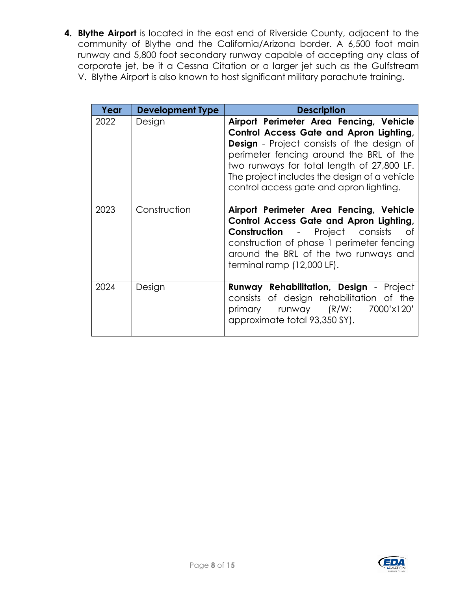**4. Blythe Airport** is located in the east end of Riverside County, adjacent to the community of Blythe and the California/Arizona border. A 6,500 foot main runway and 5,800 foot secondary runway capable of accepting any class of corporate jet, be it a Cessna Citation or a larger jet such as the Gulfstream V. Blythe Airport is also known to host significant military parachute training.

| Year | <b>Development Type</b> | <b>Description</b>                                                                                                                                                                                                                                                                                                          |
|------|-------------------------|-----------------------------------------------------------------------------------------------------------------------------------------------------------------------------------------------------------------------------------------------------------------------------------------------------------------------------|
| 2022 | Design                  | Airport Perimeter Area Fencing, Vehicle<br>Control Access Gate and Apron Lighting,<br><b>Design</b> - Project consists of the design of<br>perimeter fencing around the BRL of the<br>two runways for total length of 27,800 LF.<br>The project includes the design of a vehicle<br>control access gate and apron lighting. |
| 2023 | Construction            | Airport Perimeter Area Fencing, Vehicle<br>Control Access Gate and Apron Lighting,<br><b>Construction</b> - Project consists<br>Οf<br>construction of phase 1 perimeter fencing<br>around the BRL of the two runways and<br>terminal ramp (12,000 LF).                                                                      |
| 2024 | Design                  | <b>Runway Rehabilitation, Design - Project</b><br>consists of design rehabilitation of the<br>primary runway (R/W: 7000'x120'<br>approximate total 93,350 SY).                                                                                                                                                              |

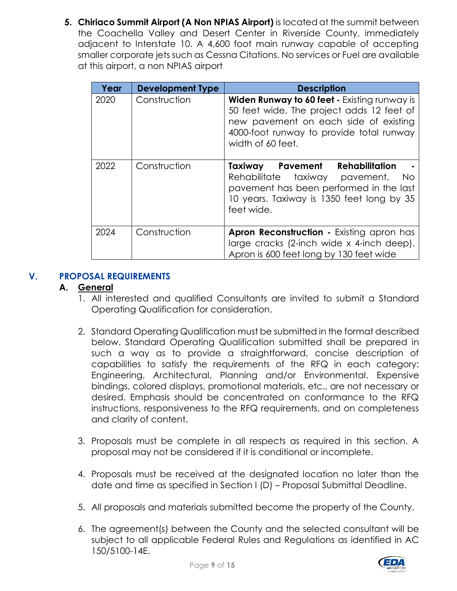**5. Chiriaco Summit Airport (A Non NPIAS Airport)** is located at the summit between the Coachella Valley and Desert Center in Riverside County, immediately adjacent to Interstate 10. A 4,600 foot main runway capable of accepting smaller corporate jets such as Cessna Citations. No services or Fuel are available at this airport, a non NPIAS airport

| Year | <b>Development Type</b> | <b>Description</b>                                                                                                                                                                                  |
|------|-------------------------|-----------------------------------------------------------------------------------------------------------------------------------------------------------------------------------------------------|
| 2020 | Construction            | Widen Runway to 60 feet - Existing runway is<br>50 feet wide. The project adds 12 feet of<br>new pavement on each side of existing<br>4000-foot runway to provide total runway<br>width of 60 feet. |
| 2022 | Construction            | <b>Rehabilitation</b><br>Pavement<br>Taxiway<br>Rehabilitate<br>taxiway pavement.<br>No.<br>pavement has been performed in the last<br>10 years. Taxiway is 1350 feet long by 35<br>feet wide.      |
| 2024 | Construction            | <b>Apron Reconstruction - Existing apron has</b><br>large cracks (2-inch wide x 4-inch deep).<br>Apron is 600 feet long by 130 feet wide                                                            |

## **V. PROPOSAL REQUIREMENTS**

## **A. General**

- 1. All interested and qualified Consultants are invited to submit a Standard Operating Qualification for consideration.
- 2. Standard Operating Qualification must be submitted in the format described below. Standard Operating Qualification submitted shall be prepared in such a way as to provide a straightforward, concise description of capabilities to satisfy the requirements of the RFQ in each category: Engineering, Architectural, Planning and/or Environmental. Expensive bindings, colored displays, promotional materials, etc., are not necessary or desired. Emphasis should be concentrated on conformance to the RFQ instructions, responsiveness to the RFQ requirements, and on completeness and clarity of content.
- 3. Proposals must be complete in all respects as required in this section. A proposal may not be considered if it is conditional or incomplete.
- 4. Proposals must be received at the designated location no later than the date and time as specified in Section I (D) – Proposal Submittal Deadline.
- 5. All proposals and materials submitted become the property of the County.
- 6. The agreement(s) between the County and the selected consultant will be subject to all applicable Federal Rules and Regulations as identified in AC 150/5100-14E.

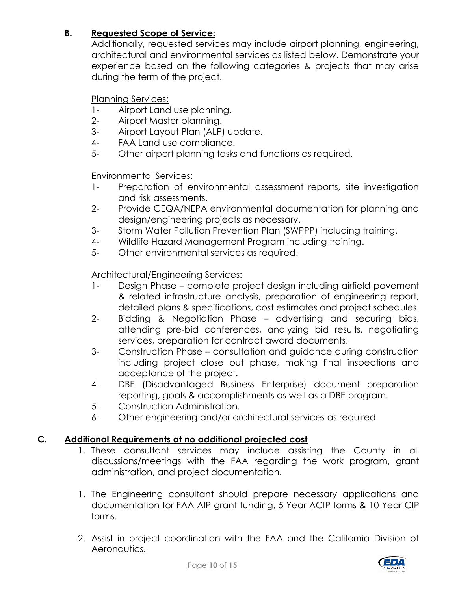## **B. Requested Scope of Service:**

Additionally, requested services may include airport planning, engineering, architectural and environmental services as listed below. Demonstrate your experience based on the following categories & projects that may arise during the term of the project.

Planning Services:

- 1- Airport Land use planning.
- 2- Airport Master planning.
- 3- Airport Layout Plan (ALP) update.
- 4- FAA Land use compliance.
- 5- Other airport planning tasks and functions as required.

Environmental Services:

- 1- Preparation of environmental assessment reports, site investigation and risk assessments.
- 2- Provide CEQA/NEPA environmental documentation for planning and design/engineering projects as necessary.
- 3- Storm Water Pollution Prevention Plan (SWPPP) including training.
- 4- Wildlife Hazard Management Program including training.
- 5- Other environmental services as required.

## Architectural/Engineering Services:

- 1- Design Phase complete project design including airfield pavement & related infrastructure analysis, preparation of engineering report, detailed plans & specifications, cost estimates and project schedules.
- 2- Bidding & Negotiation Phase advertising and securing bids, attending pre-bid conferences, analyzing bid results, negotiating services, preparation for contract award documents.
- 3- Construction Phase consultation and guidance during construction including project close out phase, making final inspections and acceptance of the project.
- 4- DBE (Disadvantaged Business Enterprise) document preparation reporting, goals & accomplishments as well as a DBE program.
- 5- Construction Administration.
- 6- Other engineering and/or architectural services as required.

## **C. Additional Requirements at no additional projected cost**

- 1. These consultant services may include assisting the County in all discussions/meetings with the FAA regarding the work program, grant administration, and project documentation.
- 1. The Engineering consultant should prepare necessary applications and documentation for FAA AIP grant funding, 5-Year ACIP forms & 10-Year CIP forms.
- 2. Assist in project coordination with the FAA and the California Division of Aeronautics.

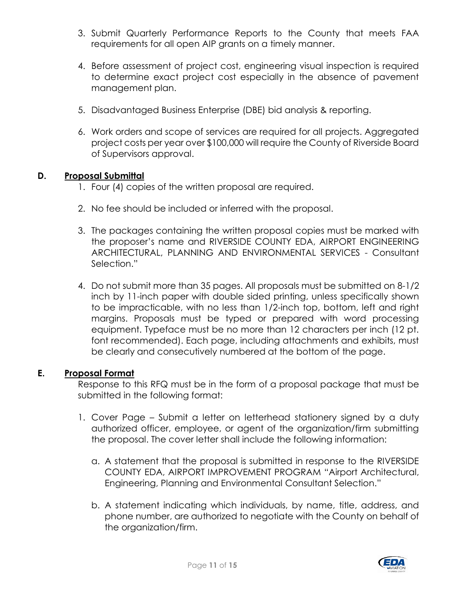- 3. Submit Quarterly Performance Reports to the County that meets FAA requirements for all open AIP grants on a timely manner.
- 4. Before assessment of project cost, engineering visual inspection is required to determine exact project cost especially in the absence of pavement management plan.
- 5. Disadvantaged Business Enterprise (DBE) bid analysis & reporting.
- 6. Work orders and scope of services are required for all projects. Aggregated project costs per year over \$100,000 will require the County of Riverside Board of Supervisors approval.

#### **D. Proposal Submittal**

- 1. Four (4) copies of the written proposal are required.
- 2. No fee should be included or inferred with the proposal.
- 3. The packages containing the written proposal copies must be marked with the proposer's name and RIVERSIDE COUNTY EDA, AIRPORT ENGINEERING ARCHITECTURAL, PLANNING AND ENVIRONMENTAL SERVICES - Consultant Selection."
- 4. Do not submit more than 35 pages. All proposals must be submitted on 8-1/2 inch by 11-inch paper with double sided printing, unless specifically shown to be impracticable, with no less than 1/2-inch top, bottom, left and right margins. Proposals must be typed or prepared with word processing equipment. Typeface must be no more than 12 characters per inch (12 pt. font recommended). Each page, including attachments and exhibits, must be clearly and consecutively numbered at the bottom of the page.

#### **E. Proposal Format**

Response to this RFQ must be in the form of a proposal package that must be submitted in the following format:

- 1. Cover Page Submit a letter on letterhead stationery signed by a duty authorized officer, employee, or agent of the organization/firm submitting the proposal. The cover letter shall include the following information:
	- a. A statement that the proposal is submitted in response to the RIVERSIDE COUNTY EDA, AIRPORT IMPROVEMENT PROGRAM "Airport Architectural, Engineering, Planning and Environmental Consultant Selection."
	- b. A statement indicating which individuals, by name, title, address, and phone number, are authorized to negotiate with the County on behalf of the organization/firm.

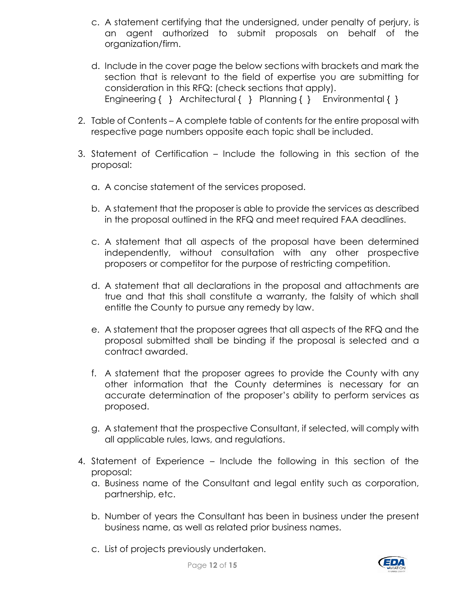- c. A statement certifying that the undersigned, under penalty of perjury, is an agent authorized to submit proposals on behalf of the organization/firm.
- d. Include in the cover page the below sections with brackets and mark the section that is relevant to the field of expertise you are submitting for consideration in this RFQ: (check sections that apply). Engineering { } Architectural { } Planning { } Environmental { }
- 2. Table of Contents A complete table of contents for the entire proposal with respective page numbers opposite each topic shall be included.
- 3. Statement of Certification Include the following in this section of the proposal:
	- a. A concise statement of the services proposed.
	- b. A statement that the proposer is able to provide the services as described in the proposal outlined in the RFQ and meet required FAA deadlines.
	- c. A statement that all aspects of the proposal have been determined independently, without consultation with any other prospective proposers or competitor for the purpose of restricting competition.
	- d. A statement that all declarations in the proposal and attachments are true and that this shall constitute a warranty, the falsity of which shall entitle the County to pursue any remedy by law.
	- e. A statement that the proposer agrees that all aspects of the RFQ and the proposal submitted shall be binding if the proposal is selected and a contract awarded.
	- f. A statement that the proposer agrees to provide the County with any other information that the County determines is necessary for an accurate determination of the proposer's ability to perform services as proposed.
	- g. A statement that the prospective Consultant, if selected, will comply with all applicable rules, laws, and regulations.
- 4. Statement of Experience Include the following in this section of the proposal:
	- a. Business name of the Consultant and legal entity such as corporation, partnership, etc.
	- b. Number of years the Consultant has been in business under the present business name, as well as related prior business names.
	- c. List of projects previously undertaken.

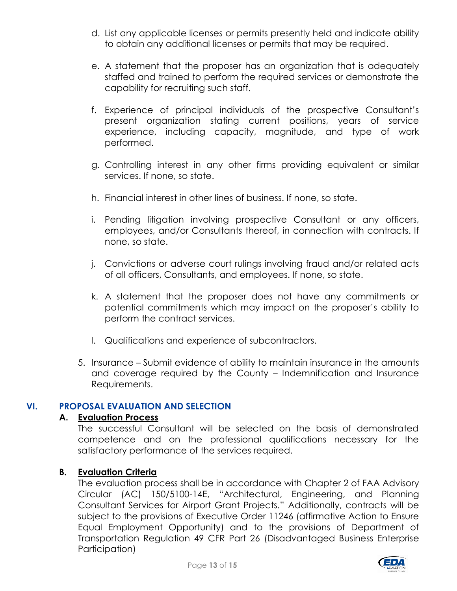- d. List any applicable licenses or permits presently held and indicate ability to obtain any additional licenses or permits that may be required.
- e. A statement that the proposer has an organization that is adequately staffed and trained to perform the required services or demonstrate the capability for recruiting such staff.
- f. Experience of principal individuals of the prospective Consultant's present organization stating current positions, years of service experience, including capacity, magnitude, and type of work performed.
- g. Controlling interest in any other firms providing equivalent or similar services. If none, so state.
- h. Financial interest in other lines of business. If none, so state.
- i. Pending litigation involving prospective Consultant or any officers, employees, and/or Consultants thereof, in connection with contracts. If none, so state.
- j. Convictions or adverse court rulings involving fraud and/or related acts of all officers, Consultants, and employees. If none, so state.
- k. A statement that the proposer does not have any commitments or potential commitments which may impact on the proposer's ability to perform the contract services.
- l. Qualifications and experience of subcontractors.
- 5. Insurance Submit evidence of ability to maintain insurance in the amounts and coverage required by the County – Indemnification and Insurance Requirements.

## **VI. PROPOSAL EVALUATION AND SELECTION**

## **A. Evaluation Process**

The successful Consultant will be selected on the basis of demonstrated competence and on the professional qualifications necessary for the satisfactory performance of the services required.

#### **B. Evaluation Criteria**

The evaluation process shall be in accordance with Chapter 2 of FAA Advisory Circular (AC) 150/5100-14E, "Architectural, Engineering, and Planning Consultant Services for Airport Grant Projects." Additionally, contracts will be subject to the provisions of Executive Order 11246 (affirmative Action to Ensure Equal Employment Opportunity) and to the provisions of Department of Transportation Regulation 49 CFR Part 26 (Disadvantaged Business Enterprise Participation)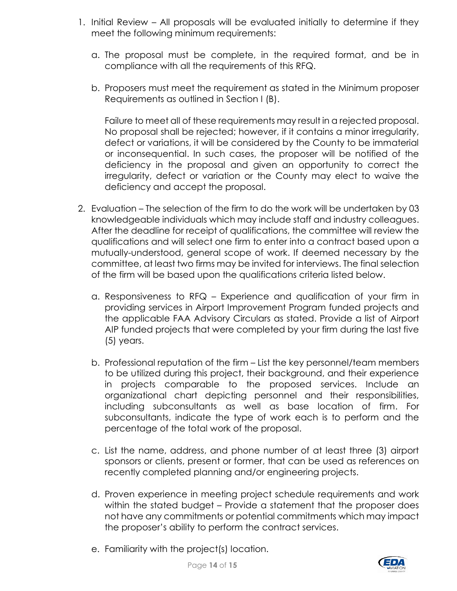- 1. Initial Review All proposals will be evaluated initially to determine if they meet the following minimum requirements:
	- a. The proposal must be complete, in the required format, and be in compliance with all the requirements of this RFQ.
	- b. Proposers must meet the requirement as stated in the Minimum proposer Requirements as outlined in Section I (B).

Failure to meet all of these requirements may result in a rejected proposal. No proposal shall be rejected; however, if it contains a minor irregularity, defect or variations, it will be considered by the County to be immaterial or inconsequential. In such cases, the proposer will be notified of the deficiency in the proposal and given an opportunity to correct the irregularity, defect or variation or the County may elect to waive the deficiency and accept the proposal.

- 2. Evaluation The selection of the firm to do the work will be undertaken by 03 knowledgeable individuals which may include staff and industry colleagues. After the deadline for receipt of qualifications, the committee will review the qualifications and will select one firm to enter into a contract based upon a mutually-understood, general scope of work. If deemed necessary by the committee, at least two firms may be invited for interviews. The final selection of the firm will be based upon the qualifications criteria listed below.
	- a. Responsiveness to RFQ Experience and qualification of your firm in providing services in Airport Improvement Program funded projects and the applicable FAA Advisory Circulars as stated. Provide a list of Airport AIP funded projects that were completed by your firm during the last five (5) years.
	- b. Professional reputation of the firm List the key personnel/team members to be utilized during this project, their background, and their experience in projects comparable to the proposed services. Include an organizational chart depicting personnel and their responsibilities, including subconsultants as well as base location of firm. For subconsultants, indicate the type of work each is to perform and the percentage of the total work of the proposal.
	- c. List the name, address, and phone number of at least three (3) airport sponsors or clients, present or former, that can be used as references on recently completed planning and/or engineering projects.
	- d. Proven experience in meeting project schedule requirements and work within the stated budget – Provide a statement that the proposer does not have any commitments or potential commitments which may impact the proposer's ability to perform the contract services.
	- e. Familiarity with the project(s) location.